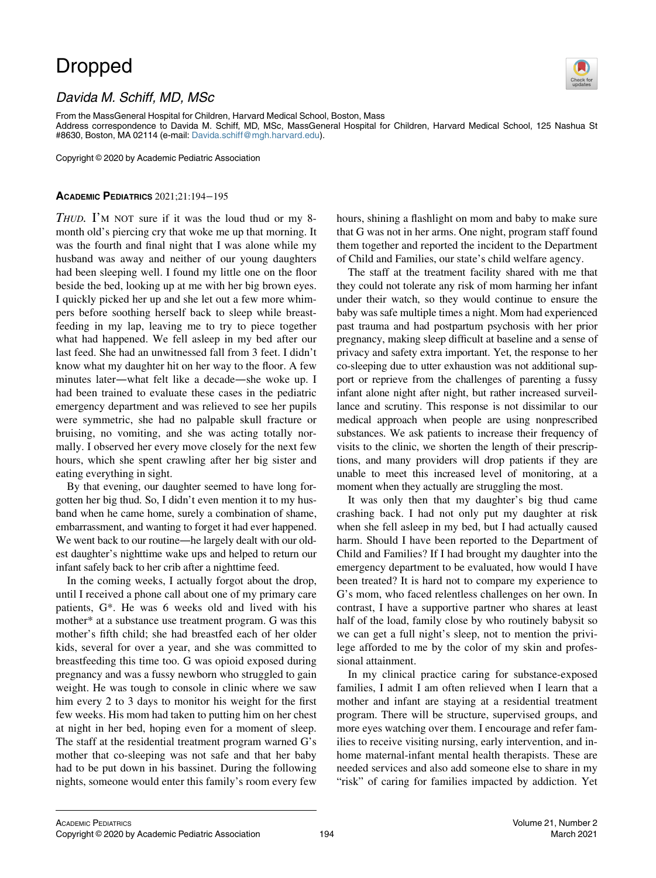## Dropped



## Davida M. Schiff, MD, MSc

From the MassGeneral Hospital for Children, Harvard Medical School, Boston, Mass

Address correspondence to Davida M. Schiff, MD, MSc, MassGeneral Hospital for Children, Harvard Medical School, 125 Nashua St #8630, Boston, MA 02114 (e-mail: [Davida.schiff@mgh.harvard.edu](mailto:Davida.schiff@mgh.harvard.edu)).

Copyright © 2020 by Academic Pediatric Association

## ACADEMIC PEDIATRICS 2021;21:194−195

THUD. I'M NOT sure if it was the loud thud or my 8month old's piercing cry that woke me up that morning. It was the fourth and final night that I was alone while my husband was away and neither of our young daughters had been sleeping well. I found my little one on the floor beside the bed, looking up at me with her big brown eyes. I quickly picked her up and she let out a few more whimpers before soothing herself back to sleep while breastfeeding in my lap, leaving me to try to piece together what had happened. We fell asleep in my bed after our last feed. She had an unwitnessed fall from 3 feet. I didn't know what my daughter hit on her way to the floor. A few minutes later—what felt like a decade—she woke up. I had been trained to evaluate these cases in the pediatric emergency department and was relieved to see her pupils were symmetric, she had no palpable skull fracture or bruising, no vomiting, and she was acting totally normally. I observed her every move closely for the next few hours, which she spent crawling after her big sister and eating everything in sight.

By that evening, our daughter seemed to have long forgotten her big thud. So, I didn't even mention it to my husband when he came home, surely a combination of shame, embarrassment, and wanting to forget it had ever happened. We went back to our routine—he largely dealt with our oldest daughter's nighttime wake ups and helped to return our infant safely back to her crib after a nighttime feed.

In the coming weeks, I actually forgot about the drop, until I received a phone call about one of my primary care patients, G\*. He was 6 weeks old and lived with his mother\* at a substance use treatment program. G was this mother's fifth child; she had breastfed each of her older kids, several for over a year, and she was committed to breastfeeding this time too. G was opioid exposed during pregnancy and was a fussy newborn who struggled to gain weight. He was tough to console in clinic where we saw him every 2 to 3 days to monitor his weight for the first few weeks. His mom had taken to putting him on her chest at night in her bed, hoping even for a moment of sleep. The staff at the residential treatment program warned G's mother that co-sleeping was not safe and that her baby had to be put down in his bassinet. During the following nights, someone would enter this family's room every few hours, shining a flashlight on mom and baby to make sure that G was not in her arms. One night, program staff found them together and reported the incident to the Department of Child and Families, our state's child welfare agency.

The staff at the treatment facility shared with me that they could not tolerate any risk of mom harming her infant under their watch, so they would continue to ensure the baby was safe multiple times a night. Mom had experienced past trauma and had postpartum psychosis with her prior pregnancy, making sleep difficult at baseline and a sense of privacy and safety extra important. Yet, the response to her co-sleeping due to utter exhaustion was not additional support or reprieve from the challenges of parenting a fussy infant alone night after night, but rather increased surveillance and scrutiny. This response is not dissimilar to our medical approach when people are using nonprescribed substances. We ask patients to increase their frequency of visits to the clinic, we shorten the length of their prescriptions, and many providers will drop patients if they are unable to meet this increased level of monitoring, at a moment when they actually are struggling the most.

It was only then that my daughter's big thud came crashing back. I had not only put my daughter at risk when she fell asleep in my bed, but I had actually caused harm. Should I have been reported to the Department of Child and Families? If I had brought my daughter into the emergency department to be evaluated, how would I have been treated? It is hard not to compare my experience to G's mom, who faced relentless challenges on her own. In contrast, I have a supportive partner who shares at least half of the load, family close by who routinely babysit so we can get a full night's sleep, not to mention the privilege afforded to me by the color of my skin and professional attainment.

In my clinical practice caring for substance-exposed families, I admit I am often relieved when I learn that a mother and infant are staying at a residential treatment program. There will be structure, supervised groups, and more eyes watching over them. I encourage and refer families to receive visiting nursing, early intervention, and inhome maternal-infant mental health therapists. These are needed services and also add someone else to share in my "risk" of caring for families impacted by addiction. Yet